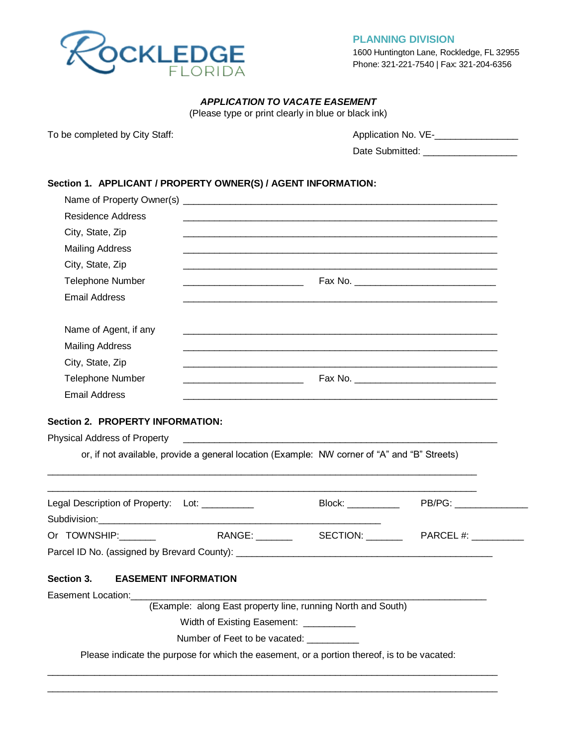

**PLANNING DIVISION** 

1600 Huntington Lane, Rockledge, FL 32955 Phone: 321-221-7540 | Fax: 321-204-6356

# *APPLICATION TO VACATE EASEMENT*

(Please type or print clearly in blue or black ink)

To be completed by City Staff:  $\blacksquare$  Application No. VE-\_\_\_\_\_\_\_\_\_\_\_\_\_\_\_\_\_\_\_\_\_\_\_

Date Submitted: \_\_\_\_\_\_\_\_\_\_\_\_\_\_\_\_\_\_

# **Section 1. APPLICANT / PROPERTY OWNER(S) / AGENT INFORMATION:**

| <b>Residence Address</b>                                     |                                                                                                                                                                                                                      |                                        |  |  |  |  |  |
|--------------------------------------------------------------|----------------------------------------------------------------------------------------------------------------------------------------------------------------------------------------------------------------------|----------------------------------------|--|--|--|--|--|
| City, State, Zip                                             |                                                                                                                                                                                                                      |                                        |  |  |  |  |  |
| <b>Mailing Address</b>                                       |                                                                                                                                                                                                                      |                                        |  |  |  |  |  |
| City, State, Zip                                             |                                                                                                                                                                                                                      |                                        |  |  |  |  |  |
| Telephone Number                                             |                                                                                                                                                                                                                      |                                        |  |  |  |  |  |
| Email Address                                                |                                                                                                                                                                                                                      |                                        |  |  |  |  |  |
| Name of Agent, if any                                        |                                                                                                                                                                                                                      |                                        |  |  |  |  |  |
| <b>Mailing Address</b>                                       |                                                                                                                                                                                                                      |                                        |  |  |  |  |  |
| City, State, Zip                                             |                                                                                                                                                                                                                      |                                        |  |  |  |  |  |
| Telephone Number                                             |                                                                                                                                                                                                                      |                                        |  |  |  |  |  |
| <b>Email Address</b>                                         |                                                                                                                                                                                                                      |                                        |  |  |  |  |  |
| Physical Address of Property                                 | <u> Andrewski program i području pod svoji staročnog programa i području programa i području programa i području</u><br>or, if not available, provide a general location (Example: NW corner of "A" and "B" Streets) |                                        |  |  |  |  |  |
| Legal Description of Property: Lot: __________               |                                                                                                                                                                                                                      | Block: ____________ PB/PG: ___________ |  |  |  |  |  |
| Or TOWNSHIP:                                                 |                                                                                                                                                                                                                      |                                        |  |  |  |  |  |
|                                                              |                                                                                                                                                                                                                      |                                        |  |  |  |  |  |
| <b>EASEMENT INFORMATION</b><br><b>Section 3.</b>             |                                                                                                                                                                                                                      |                                        |  |  |  |  |  |
| Easement Location:                                           |                                                                                                                                                                                                                      |                                        |  |  |  |  |  |
| (Example: along East property line, running North and South) |                                                                                                                                                                                                                      |                                        |  |  |  |  |  |
| Width of Existing Easement: ___________                      |                                                                                                                                                                                                                      |                                        |  |  |  |  |  |
| Number of Feet to be vacated: __________                     |                                                                                                                                                                                                                      |                                        |  |  |  |  |  |
|                                                              | Please indicate the purpose for which the easement, or a portion thereof, is to be vacated:                                                                                                                          |                                        |  |  |  |  |  |
|                                                              |                                                                                                                                                                                                                      |                                        |  |  |  |  |  |

 $\_$  ,  $\_$  ,  $\_$  ,  $\_$  ,  $\_$  ,  $\_$  ,  $\_$  ,  $\_$  ,  $\_$  ,  $\_$  ,  $\_$  ,  $\_$  ,  $\_$  ,  $\_$  ,  $\_$  ,  $\_$  ,  $\_$  ,  $\_$  ,  $\_$  ,  $\_$  ,  $\_$  ,  $\_$  ,  $\_$  ,  $\_$  ,  $\_$  ,  $\_$  ,  $\_$  ,  $\_$  ,  $\_$  ,  $\_$  ,  $\_$  ,  $\_$  ,  $\_$  ,  $\_$  ,  $\_$  ,  $\_$  ,  $\_$  ,